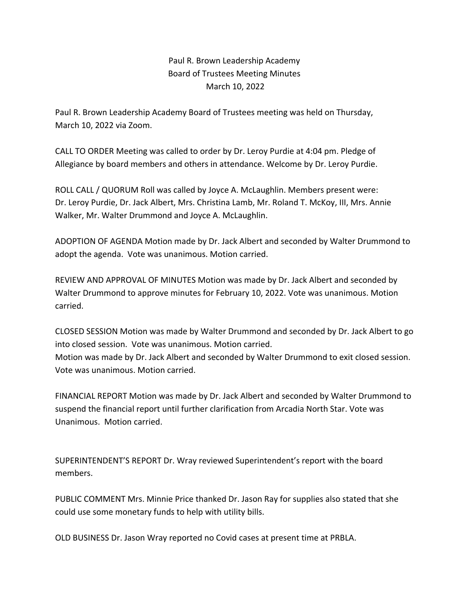Paul R. Brown Leadership Academy Board of Trustees Meeting Minutes March 10, 2022

Paul R. Brown Leadership Academy Board of Trustees meeting was held on Thursday, March 10, 2022 via Zoom.

CALL TO ORDER Meeting was called to order by Dr. Leroy Purdie at 4:04 pm. Pledge of Allegiance by board members and others in attendance. Welcome by Dr. Leroy Purdie.

ROLL CALL / QUORUM Roll was called by Joyce A. McLaughlin. Members present were: Dr. Leroy Purdie, Dr. Jack Albert, Mrs. Christina Lamb, Mr. Roland T. McKoy, III, Mrs. Annie Walker, Mr. Walter Drummond and Joyce A. McLaughlin.

ADOPTION OF AGENDA Motion made by Dr. Jack Albert and seconded by Walter Drummond to adopt the agenda. Vote was unanimous. Motion carried.

REVIEW AND APPROVAL OF MINUTES Motion was made by Dr. Jack Albert and seconded by Walter Drummond to approve minutes for February 10, 2022. Vote was unanimous. Motion carried.

CLOSED SESSION Motion was made by Walter Drummond and seconded by Dr. Jack Albert to go into closed session. Vote was unanimous. Motion carried. Motion was made by Dr. Jack Albert and seconded by Walter Drummond to exit closed session. Vote was unanimous. Motion carried.

FINANCIAL REPORT Motion was made by Dr. Jack Albert and seconded by Walter Drummond to suspend the financial report until further clarification from Arcadia North Star. Vote was Unanimous. Motion carried.

SUPERINTENDENT'S REPORT Dr. Wray reviewed Superintendent's report with the board members.

PUBLIC COMMENT Mrs. Minnie Price thanked Dr. Jason Ray for supplies also stated that she could use some monetary funds to help with utility bills.

OLD BUSINESS Dr. Jason Wray reported no Covid cases at present time at PRBLA.